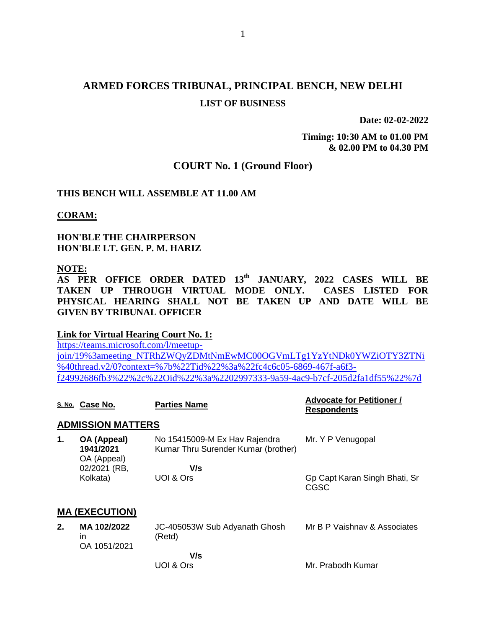# **ARMED FORCES TRIBUNAL, PRINCIPAL BENCH, NEW DELHI LIST OF BUSINESS**

**Date: 02-02-2022**

**Timing: 10:30 AM to 01.00 PM & 02.00 PM to 04.30 PM**

## **COURT No. 1 (Ground Floor)**

### **THIS BENCH WILL ASSEMBLE AT 11.00 AM**

**CORAM:**

**HON'BLE THE CHAIRPERSON HON'BLE LT. GEN. P. M. HARIZ**

#### **NOTE:**

**AS PER OFFICE ORDER DATED 13th JANUARY, 2022 CASES WILL BE TAKEN UP THROUGH VIRTUAL MODE ONLY. CASES LISTED FOR PHYSICAL HEARING SHALL NOT BE TAKEN UP AND DATE WILL BE GIVEN BY TRIBUNAL OFFICER**

#### **Link for Virtual Hearing Court No. 1:**

[https://teams.microsoft.com/l/meetup](https://teams.microsoft.com/l/meetup-join/19%3ameeting_NTRhZWQyZDMtNmEwMC00OGVmLTg1YzYtNDk0YWZiOTY3ZTNi%40thread.v2/0?context=%7b%22Tid%22%3a%22fc4c6c05-6869-467f-a6f3-f24992686fb3%22%2c%22Oid%22%3a%2202997333-9a59-4ac9-b7cf-205d2fa1df55%22%7d)[join/19%3ameeting\\_NTRhZWQyZDMtNmEwMC00OGVmLTg1YzYtNDk0YWZiOTY3ZTNi](https://teams.microsoft.com/l/meetup-join/19%3ameeting_NTRhZWQyZDMtNmEwMC00OGVmLTg1YzYtNDk0YWZiOTY3ZTNi%40thread.v2/0?context=%7b%22Tid%22%3a%22fc4c6c05-6869-467f-a6f3-f24992686fb3%22%2c%22Oid%22%3a%2202997333-9a59-4ac9-b7cf-205d2fa1df55%22%7d) [%40thread.v2/0?context=%7b%22Tid%22%3a%22fc4c6c05-6869-467f-a6f3](https://teams.microsoft.com/l/meetup-join/19%3ameeting_NTRhZWQyZDMtNmEwMC00OGVmLTg1YzYtNDk0YWZiOTY3ZTNi%40thread.v2/0?context=%7b%22Tid%22%3a%22fc4c6c05-6869-467f-a6f3-f24992686fb3%22%2c%22Oid%22%3a%2202997333-9a59-4ac9-b7cf-205d2fa1df55%22%7d) [f24992686fb3%22%2c%22Oid%22%3a%2202997333-9a59-4ac9-b7cf-205d2fa1df55%22%7d](https://teams.microsoft.com/l/meetup-join/19%3ameeting_NTRhZWQyZDMtNmEwMC00OGVmLTg1YzYtNDk0YWZiOTY3ZTNi%40thread.v2/0?context=%7b%22Tid%22%3a%22fc4c6c05-6869-467f-a6f3-f24992686fb3%22%2c%22Oid%22%3a%2202997333-9a59-4ac9-b7cf-205d2fa1df55%22%7d)

|    | S. No. Case No.                         | <b>Parties Name</b>                                                  | <b>Advocate for Petitioner /</b><br><b>Respondents</b> |
|----|-----------------------------------------|----------------------------------------------------------------------|--------------------------------------------------------|
|    | <b>ADMISSION MATTERS</b>                |                                                                      |                                                        |
| 1. | OA (Appeal)<br>1941/2021<br>OA (Appeal) | No 15415009-M Ex Hav Rajendra<br>Kumar Thru Surender Kumar (brother) | Mr. Y P Venugopal                                      |
|    | 02/2021 (RB,<br>Kolkata)                | V/s<br>UOI & Ors                                                     | Gp Capt Karan Singh Bhati, Sr<br>CGSC                  |
|    | <b>MA (EXECUTION)</b>                   |                                                                      |                                                        |
| 2. | MA 102/2022<br>in<br>OA 1051/2021       | JC-405053W Sub Adyanath Ghosh<br>(Retd)                              | Mr B P Vaishnav & Associates                           |
|    |                                         | V/s<br>UOI & Ors                                                     | Mr. Prabodh Kumar                                      |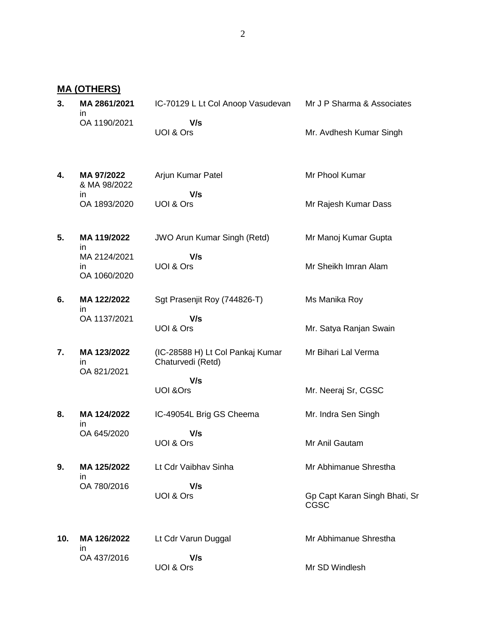**MA (OTHERS)**

| MA 2861/2021 | IC-70129 L Lt Col Anoop Vasudevan | Mr J P Sharma & Associates |
|--------------|-----------------------------------|----------------------------|
| OA 1190/2021 | V/s                               |                            |
|              | UOI & Ors                         | Mr. Avdhesh Kumar Singh    |

- **4. MA 97/2022** & MA 98/2022 in OA 1893/2020 Arjun Kumar Patel  **V/s** UOI & Ors Mr Phool Kumar Mr Rajesh Kumar Dass
- **5. MA 119/2022** in MA 2124/2021 in OA 1060/2020 JWO Arun Kumar Singh (Retd)  **V/s** UOI & Ors Mr Manoj Kumar Gupta Mr Sheikh Imran Alam
- **6. MA 122/2022** in OA 1137/2021 Sgt Prasenjit Roy (744826-T)  **V/s**

UOI & Ors

**7. MA 123/2022** in OA 821/2021 (IC-28588 H) Lt Col Pankaj Kumar Chaturvedi (Retd)

> **V/s** UOI &Ors

**8. MA 124/2022** in OA 645/2020

 **V/s** UOI & Ors

**9. MA 125/2022** in OA 780/2016 Lt Cdr Vaibhav Sinha  **V/s** UOI & Ors

IC-49054L Brig GS Cheema

**10. MA 126/2022** in OA 437/2016

Lt Cdr Varun Duggal  **V/s** UOI & Ors

Mr. Indra Sen Singh

Ms Manika Roy

Mr. Satya Ranjan Swain

Mr Bihari Lal Verma

Mr. Neeraj Sr, CGSC

Mr Anil Gautam

Mr Abhimanue Shrestha

Gp Capt Karan Singh Bhati, Sr CGSC

Mr Abhimanue Shrestha

Mr SD Windlesh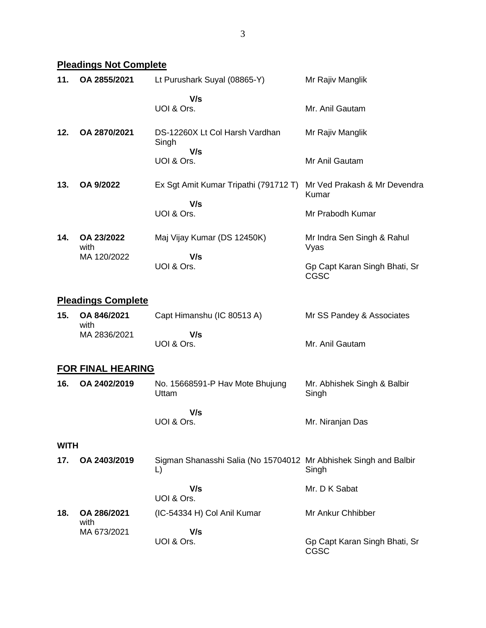**Pleadings Not Complete**

| 11.         | OA 2855/2021              | Lt Purushark Suyal (08865-Y)                                           | Mr Rajiv Manglik                             |
|-------------|---------------------------|------------------------------------------------------------------------|----------------------------------------------|
|             |                           | V/s<br>UOI & Ors.                                                      | Mr. Anil Gautam                              |
| 12.         | OA 2870/2021              | DS-12260X Lt Col Harsh Vardhan<br>Singh<br>V/s                         | Mr Rajiv Manglik                             |
|             |                           | UOI & Ors.                                                             | Mr Anil Gautam                               |
| 13.         | OA 9/2022                 | Ex Sgt Amit Kumar Tripathi (791712 T)<br>V/s                           | Mr Ved Prakash & Mr Devendra<br>Kumar        |
|             |                           | UOI & Ors.                                                             | Mr Prabodh Kumar                             |
| 14.         | OA 23/2022<br>with        | Maj Vijay Kumar (DS 12450K)                                            | Mr Indra Sen Singh & Rahul<br>Vyas           |
|             | MA 120/2022               | V/s<br>UOI & Ors.                                                      | Gp Capt Karan Singh Bhati, Sr<br><b>CGSC</b> |
|             | <b>Pleadings Complete</b> |                                                                        |                                              |
| 15.         | OA 846/2021<br>with       | Capt Himanshu (IC 80513 A)                                             | Mr SS Pandey & Associates                    |
|             | MA 2836/2021              | V/s<br>UOI & Ors.                                                      | Mr. Anil Gautam                              |
|             | <b>FOR FINAL HEARING</b>  |                                                                        |                                              |
| 16.         | OA 2402/2019              | No. 15668591-P Hav Mote Bhujung<br>Uttam                               | Mr. Abhishek Singh & Balbir<br>Singh         |
|             |                           | V/s<br>UOI & Ors.                                                      | Mr. Niranjan Das                             |
| <b>WITH</b> |                           |                                                                        |                                              |
| 17.         | OA 2403/2019              | Sigman Shanasshi Salia (No 15704012 Mr Abhishek Singh and Balbir<br>L) | Singh                                        |
|             |                           | V/s<br>UOI & Ors.                                                      | Mr. D K Sabat                                |
| 18.         | OA 286/2021<br>with       | (IC-54334 H) Col Anil Kumar                                            | Mr Ankur Chhibber                            |
|             | MA 673/2021               | V/s<br>UOI & Ors.                                                      | Gp Capt Karan Singh Bhati, Sr<br>CGSC        |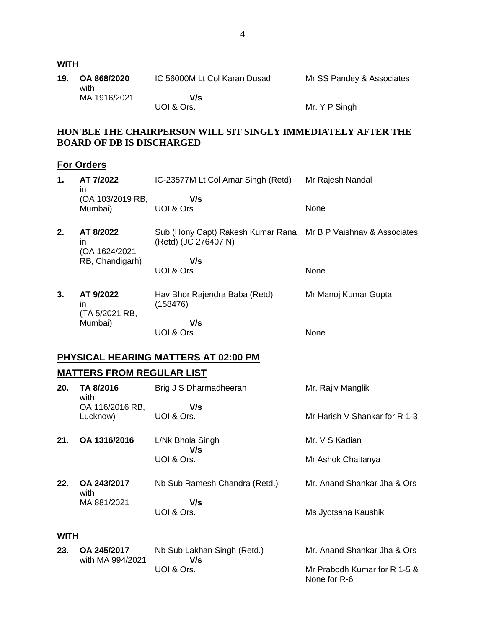| 19.         | OA 868/2020<br>with              | IC 56000M Lt Col Karan Dusad                                  | Mr SS Pandey & Associates                    |
|-------------|----------------------------------|---------------------------------------------------------------|----------------------------------------------|
|             | MA 1916/2021                     | V/s<br>UOI & Ors.                                             | Mr. Y P Singh                                |
|             | <b>BOARD OF DB IS DISCHARGED</b> | HON'BLE THE CHAIRPERSON WILL SIT SINGLY IMMEDIATELY AFTER THE |                                              |
|             | <b>For Orders</b>                |                                                               |                                              |
| 1.          | AT 7/2022<br>in.                 | IC-23577M Lt Col Amar Singh (Retd)                            | Mr Rajesh Nandal                             |
|             | (OA 103/2019 RB,<br>Mumbai)      | V/s<br>UOI & Ors                                              | None                                         |
| 2.          | AT 8/2022<br>in.                 | Sub (Hony Capt) Rakesh Kumar Rana<br>(Retd) (JC 276407 N)     | Mr B P Vaishnav & Associates                 |
|             | (OA 1624/2021<br>RB, Chandigarh) | V/s<br>UOI & Ors                                              | None                                         |
| 3.          | AT 9/2022<br>in.                 | Hav Bhor Rajendra Baba (Retd)<br>(158476)                     | Mr Manoj Kumar Gupta                         |
|             | (TA 5/2021 RB,<br>Mumbai)        | V/s<br>UOI & Ors                                              | None                                         |
|             |                                  | <b>PHYSICAL HEARING MATTERS AT 02:00 PM</b>                   |                                              |
|             | <b>MATTERS FROM REGULAR LIST</b> |                                                               |                                              |
| 20.         | TA 8/2016<br>with                | Brig J S Dharmadheeran                                        | Mr. Rajiv Manglik                            |
|             | OA 116/2016 RB,<br>Lucknow)      | V/s<br>UOI & Ors.                                             | Mr Harish V Shankar for R 1-3                |
| 21.         | OA 1316/2016                     | L/Nk Bhola Singh                                              | Mr. V S Kadian                               |
|             |                                  | V/s<br>UOI & Ors.                                             | Mr Ashok Chaitanya                           |
| 22.         | OA 243/2017<br>with              | Nb Sub Ramesh Chandra (Retd.)                                 | Mr. Anand Shankar Jha & Ors                  |
|             | MA 881/2021                      | V/s<br>UOI & Ors.                                             | Ms Jyotsana Kaushik                          |
| <b>WITH</b> |                                  |                                                               |                                              |
| 23.         | OA 245/2017                      | Nb Sub Lakhan Singh (Retd.)                                   | Mr. Anand Shankar Jha & Ors                  |
|             | with MA 994/2021                 | V/s<br>UOI & Ors.                                             | Mr Prabodh Kumar for R 1-5 &<br>None for R-6 |

**WITH**